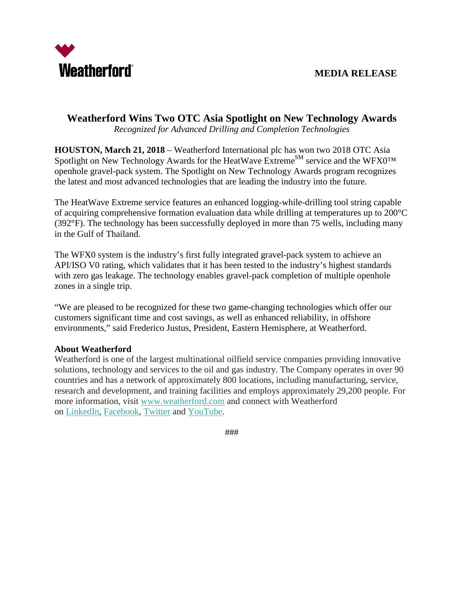

## **Weatherford Wins Two OTC Asia Spotlight on New Technology Awards**

*Recognized for Advanced Drilling and Completion Technologies*

**HOUSTON, March 21, 2018** – Weatherford International plc has won two 2018 OTC Asia Spotlight on New Technology Awards for the HeatWave Extreme<sup>SM</sup> service and the WFX0<sup>TM</sup> openhole gravel-pack system. The Spotlight on New Technology Awards program recognizes the latest and most advanced technologies that are leading the industry into the future.

The HeatWave Extreme service features an enhanced logging-while-drilling tool string capable of acquiring comprehensive formation evaluation data while drilling at temperatures up to 200°C (392°F). The technology has been successfully deployed in more than 75 wells, including many in the Gulf of Thailand.

The WFX0 system is the industry's first fully integrated gravel-pack system to achieve an API/ISO V0 rating, which validates that it has been tested to the industry's highest standards with zero gas leakage. The technology enables gravel-pack completion of multiple openhole zones in a single trip.

"We are pleased to be recognized for these two game-changing technologies which offer our customers significant time and cost savings, as well as enhanced reliability, in offshore environments," said Frederico Justus, President, Eastern Hemisphere, at Weatherford.

## **About Weatherford**

Weatherford is one of the largest multinational oilfield service companies providing innovative solutions, technology and services to the oil and gas industry. The Company operates in over 90 countries and has a network of approximately 800 locations, including manufacturing, service, research and development, and training facilities and employs approximately 29,200 people. For more information, visit [www.weatherford.com](http://www.weatherford.com/) and connect with Weatherford on [LinkedIn,](https://www.linkedin.com/company/weatherford) [Facebook,](https://www.facebook.com/WeatherfordCorp) [Twitter](https://twitter.com/weatherfordcorp) and [YouTube.](https://www.youtube.com/user/weatherfordcorp)

###